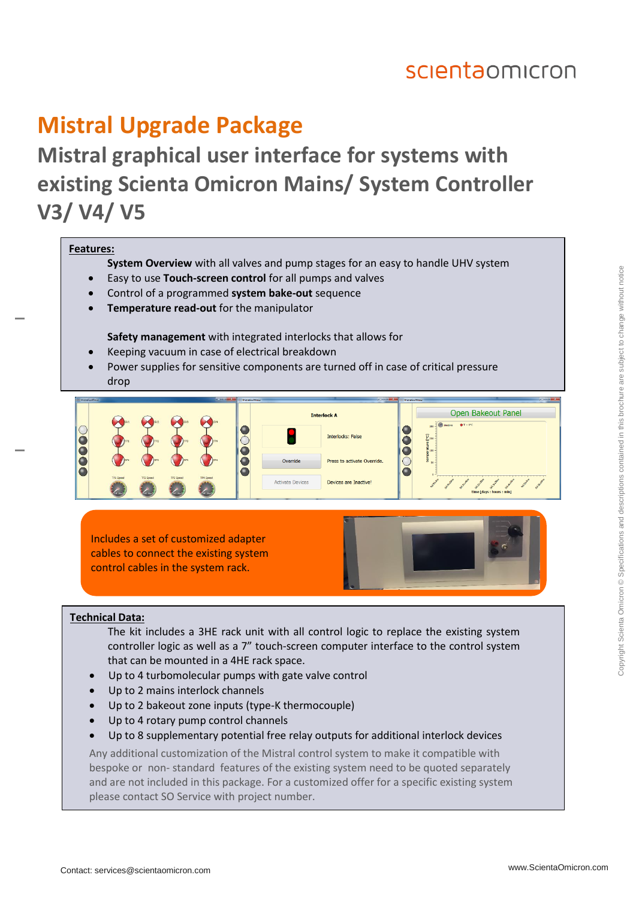## scientaomicron

## **Mistral Upgrade Package**

### **Mistral graphical user interface for systems with existing Scienta Omicron Mains/ System Controller V3/ V4/ V5**

#### **Features:**

- **System Overview** with all valves and pump stages for an easy to handle UHV system
- Easy to use **Touch-screen control** for all pumps and valves
- Control of a programmed **system bake-out** sequence
- **Temperature read-out** for the manipulator

**Safety management** with integrated interlocks that allows for

- Keeping vacuum in case of electrical breakdown
- Power supplies for sensitive components are turned off in case of critical pressure drop



Includes a set of customized adapter cables to connect the existing system control cables in the system rack.



#### **Technical Data:**

- The kit includes a 3HE rack unit with all control logic to replace the existing system controller logic as well as a 7" touch-screen computer interface to the control system that can be mounted in a 4HE rack space.
- Up to 4 turbomolecular pumps with gate valve control
- Up to 2 mains interlock channels
- Up to 2 bakeout zone inputs (type-K thermocouple)
- Up to 4 rotary pump control channels
- Up to 8 supplementary potential free relay outputs for additional interlock devices

Any additional customization of the Mistral control system to make it compatible with bespoke or non- standard features of the existing system need to be quoted separately and are not included in this package. For a customized offer for a specific existing system please contact SO Service with project number.